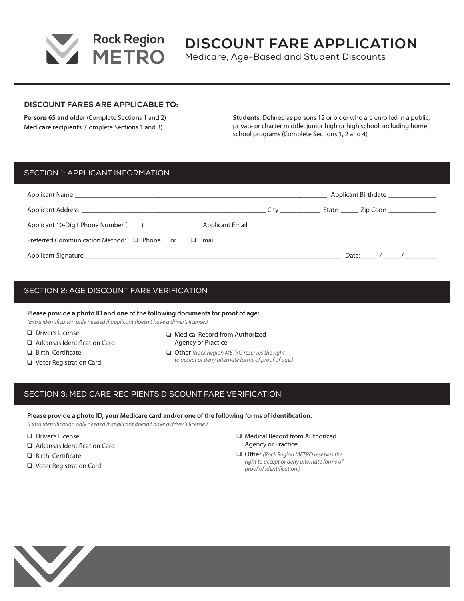

# **DISCOUNT FARE APPLICATION**

Medicare, Age-Based and Student Discounts

#### **DISCOUNT FARES ARE APPLICABLE TO:**

**Persons 65 and older** (Complete Sections 1 and 2) **Medicare recipients** (Complete Sections 1 and 3)

**Students:** Defined as persons 12 or older who are enrolled in a public, private or charter middle, junior high or high school, including home school programs (Complete Sections 1, 2 and 4)

# SECTION 1: APPLICANT INFORMATION

|                                                                                                                                                                                                                                | Applicant Birthdate                                                                                                                                                                                                            |  |                                        |
|--------------------------------------------------------------------------------------------------------------------------------------------------------------------------------------------------------------------------------|--------------------------------------------------------------------------------------------------------------------------------------------------------------------------------------------------------------------------------|--|----------------------------------------|
| Applicant Address <b>Executive Contract Address Executive Contract Address 1986</b>                                                                                                                                            | City the control of the control of the control of the control of the control of the control of the control of the control of the control of the control of the control of the control of the control of the control of the con |  | State _______ Zip Code _______________ |
|                                                                                                                                                                                                                                |                                                                                                                                                                                                                                |  |                                        |
| Preferred Communication Method: □ Phone or<br>$\Box$ Email                                                                                                                                                                     |                                                                                                                                                                                                                                |  |                                        |
| Applicant Signature that the contract of the contract of the contract of the contract of the contract of the contract of the contract of the contract of the contract of the contract of the contract of the contract of the c |                                                                                                                                                                                                                                |  | Date: $/$ /                            |

# SECTION 2: AGE DISCOUNT FARE VERIFICATION

**Please provide a photo ID and one of the following documents for proof of age:**

*(Extra identification only needed if applicant doesn't have a driver's license.)*

 $\Box$  Driver's License

 $\Box$  Birth Certificate  $\Box$  Voter Registration Card

- $\Box$  Arkansas Identification Card
- $\Box$  Medical Record from Authorized Agency or Practice
- **Other** *(Rock Region METRO reserves the right to accept or deny alternate forms of proof of age.)*

# SECTION 3: MEDICARE RECIPIENTS DISCOUNT FARE VERIFICATION

**Please provide a photo ID, your Medicare card and/or one of the following forms of identification.**

*(Extra identification only needed if applicant doesn't have a driver's license.)*

- $\Box$  Driver's License
- $\Box$  Arkansas Identification Card
- $\Box$  Birth Certificate
- O Voter Registration Card
- $\Box$  Medical Record from Authorized Agency or Practice
- **Other** *(Rock Region METRO reserves the right to accept or deny alternate forms of proof of identification.)*